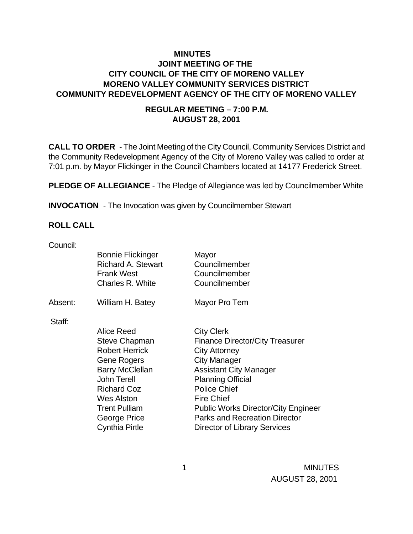## **MINUTES JOINT MEETING OF THE CITY COUNCIL OF THE CITY OF MORENO VALLEY MORENO VALLEY COMMUNITY SERVICES DISTRICT COMMUNITY REDEVELOPMENT AGENCY OF THE CITY OF MORENO VALLEY**

#### **REGULAR MEETING – 7:00 P.M. AUGUST 28, 2001**

**CALL TO ORDER** - The Joint Meeting of the City Council, Community Services District and the Community Redevelopment Agency of the City of Moreno Valley was called to order at 7:01 p.m. by Mayor Flickinger in the Council Chambers located at 14177 Frederick Street.

**PLEDGE OF ALLEGIANCE** - The Pledge of Allegiance was led by Councilmember White

**INVOCATION** - The Invocation was given by Councilmember Stewart

#### **ROLL CALL**

| Council: |                                                                                                |                                                          |
|----------|------------------------------------------------------------------------------------------------|----------------------------------------------------------|
|          | <b>Bonnie Flickinger</b><br><b>Richard A. Stewart</b><br><b>Frank West</b><br>Charles R. White | Mayor<br>Councilmember<br>Councilmember<br>Councilmember |
| Absent:  | William H. Batey                                                                               | Mayor Pro Tem                                            |
| Staff:   |                                                                                                |                                                          |
|          | <b>Alice Reed</b>                                                                              | <b>City Clerk</b>                                        |
|          | Steve Chapman                                                                                  | <b>Finance Director/City Treasurer</b>                   |
|          | <b>Robert Herrick</b>                                                                          | <b>City Attorney</b>                                     |
|          | Gene Rogers                                                                                    | City Manager                                             |
|          | <b>Barry McClellan</b>                                                                         | <b>Assistant City Manager</b>                            |
|          | John Terell                                                                                    | <b>Planning Official</b>                                 |
|          | <b>Richard Coz</b>                                                                             | <b>Police Chief</b>                                      |
|          | <b>Wes Alston</b>                                                                              | <b>Fire Chief</b>                                        |
|          | <b>Trent Pulliam</b>                                                                           | <b>Public Works Director/City Engineer</b>               |
|          | George Price                                                                                   | <b>Parks and Recreation Director</b>                     |
|          | <b>Cynthia Pirtle</b>                                                                          | Director of Library Services                             |
|          |                                                                                                |                                                          |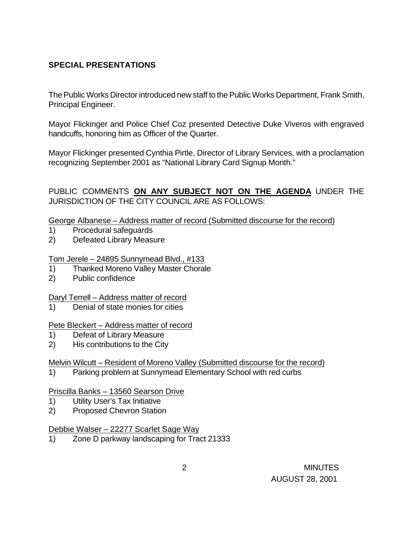# **SPECIAL PRESENTATIONS**

The Public Works Director introduced new staff to the Public Works Department, Frank Smith, Principal Engineer.

Mayor Flickinger and Police Chief Coz presented Detective Duke Viveros with engraved handcuffs, honoring him as Officer of the Quarter.

Mayor Flickinger presented Cynthia Pirtle, Director of Library Services, with a proclamation recognizing September 2001 as "National Library Card Signup Month."

PUBLIC COMMENTS **ON ANY SUBJECT NOT ON THE AGENDA** UNDER THE JURISDICTION OF THE CITY COUNCIL ARE AS FOLLOWS:

George Albanese – Address matter of record (Submitted discourse for the record)

- 1) Procedural safeguards
- 2) Defeated Library Measure

Tom Jerele – 24895 Sunnymead Blvd., #133

- 1) Thanked Moreno Valley Master Chorale
- 2) Public confidence

### Daryl Terrell – Address matter of record

1) Denial of state monies for cities

#### Pete Bleckert – Address matter of record

- 1) Defeat of Library Measure
- 2) His contributions to the City

### Melvin Wilcutt – Resident of Moreno Valley (Submitted discourse for the record)

1) Parking problem at Sunnymead Elementary School with red curbs

#### Priscilla Banks – 13560 Searson Drive

- 1) Utility User's Tax Initiative
- 2) Proposed Chevron Station

#### Debbie Walser – 22277 Scarlet Sage Way

1) Zone D parkway landscaping for Tract 21333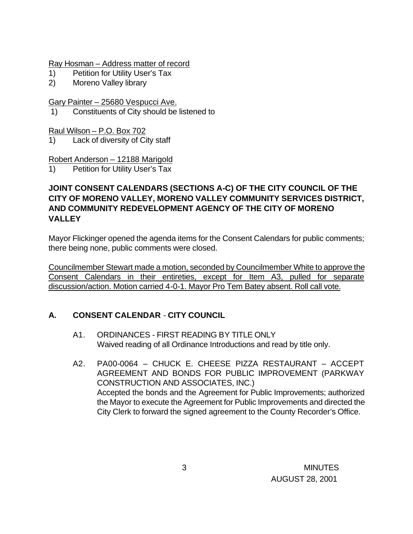Ray Hosman – Address matter of record

- 1) Petition for Utility User's Tax
- 2) Moreno Valley library

Gary Painter – 25680 Vespucci Ave.

1) Constituents of City should be listened to

Raul Wilson – P.O. Box 702

1) Lack of diversity of City staff

Robert Anderson – 12188 Marigold

1) Petition for Utility User's Tax

## **JOINT CONSENT CALENDARS (SECTIONS A-C) OF THE CITY COUNCIL OF THE CITY OF MORENO VALLEY, MORENO VALLEY COMMUNITY SERVICES DISTRICT, AND COMMUNITY REDEVELOPMENT AGENCY OF THE CITY OF MORENO VALLEY**

Mayor Flickinger opened the agenda items for the Consent Calendars for public comments; there being none, public comments were closed.

Councilmember Stewart made a motion, seconded by Councilmember White to approve the Consent Calendars in their entireties, except for Item A3, pulled for separate discussion/action. Motion carried 4-0-1. Mayor Pro Tem Batey absent. Roll call vote.

# **A. CONSENT CALENDAR** - **CITY COUNCIL**

- A1. ORDINANCES FIRST READING BY TITLE ONLY Waived reading of all Ordinance Introductions and read by title only.
- A2. PA00-0064 CHUCK E. CHEESE PIZZA RESTAURANT ACCEPT AGREEMENT AND BONDS FOR PUBLIC IMPROVEMENT (PARKWAY CONSTRUCTION AND ASSOCIATES, INC.) Accepted the bonds and the Agreement for Public Improvements; authorized the Mayor to execute the Agreement for Public Improvements and directed the City Clerk to forward the signed agreement to the County Recorder's Office.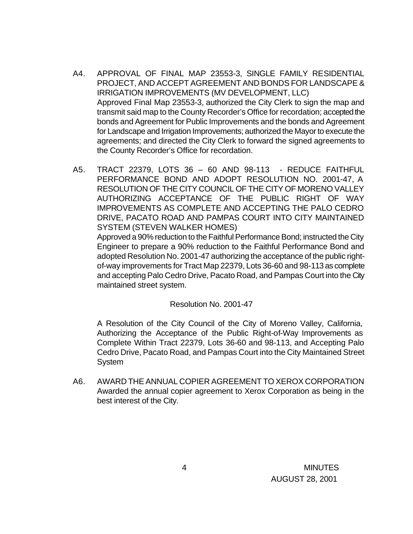- A4. APPROVAL OF FINAL MAP 23553-3, SINGLE FAMILY RESIDENTIAL PROJECT, AND ACCEPT AGREEMENT AND BONDS FOR LANDSCAPE & IRRIGATION IMPROVEMENTS (MV DEVELOPMENT, LLC) Approved Final Map 23553-3, authorized the City Clerk to sign the map and transmit said map to the County Recorder's Office for recordation; accepted the bonds and Agreement for Public Improvements and the bonds and Agreement for Landscape and Irrigation Improvements; authorized the Mayor to execute the agreements; and directed the City Clerk to forward the signed agreements to the County Recorder's Office for recordation.
- A5. TRACT 22379, LOTS 36 60 AND 98-113 REDUCE FAITHFUL PERFORMANCE BOND AND ADOPT RESOLUTION NO. 2001-47, A RESOLUTION OF THE CITY COUNCIL OF THE CITY OF MORENO VALLEY AUTHORIZING ACCEPTANCE OF THE PUBLIC RIGHT OF WAY IMPROVEMENTS AS COMPLETE AND ACCEPTING THE PALO CEDRO DRIVE, PACATO ROAD AND PAMPAS COURT INTO CITY MAINTAINED SYSTEM (STEVEN WALKER HOMES)

Approved a 90% reduction to the Faithful Performance Bond; instructed the City Engineer to prepare a 90% reduction to the Faithful Performance Bond and adopted Resolution No. 2001-47 authorizing the acceptance of the public rightof-way improvements for Tract Map 22379, Lots 36-60 and 98-113 as complete and accepting Palo Cedro Drive, Pacato Road, and Pampas Court into the City maintained street system.

#### Resolution No. 2001-47

A Resolution of the City Council of the City of Moreno Valley, California, Authorizing the Acceptance of the Public Right-of-Way Improvements as Complete Within Tract 22379, Lots 36-60 and 98-113, and Accepting Palo Cedro Drive, Pacato Road, and Pampas Court into the City Maintained Street System

A6. AWARD THE ANNUAL COPIER AGREEMENT TO XEROX CORPORATION Awarded the annual copier agreement to Xerox Corporation as being in the best interest of the City.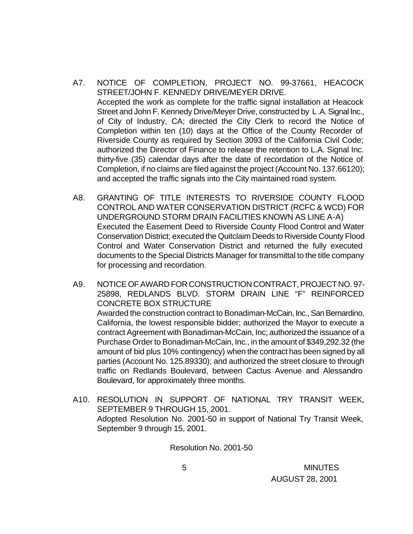- A7. NOTICE OF COMPLETION, PROJECT NO. 99-37661, HEACOCK STREET/JOHN F. KENNEDY DRIVE/MEYER DRIVE. Accepted the work as complete for the traffic signal installation at Heacock Street and John F. Kennedy Drive/Meyer Drive, constructed by L.A. Signal Inc., of City of Industry, CA; directed the City Clerk to record the Notice of Completion within ten (10) days at the Office of the County Recorder of Riverside County as required by Section 3093 of the California Civil Code; authorized the Director of Finance to release the retention to L.A. Signal Inc. thirty-five (35) calendar days after the date of recordation of the Notice of Completion, if no claims are filed against the project (Account No. 137.66120); and accepted the traffic signals into the City maintained road system.
- A8. GRANTING OF TITLE INTERESTS TO RIVERSIDE COUNTY FLOOD CONTROL AND WATER CONSERVATION DISTRICT (RCFC & WCD) FOR UNDERGROUND STORM DRAIN FACILITIES KNOWN AS LINE A-A) Executed the Easement Deed to Riverside County Flood Control and Water Conservation District; executed the Quitclaim Deeds to Riverside County Flood Control and Water Conservation District and returned the fully executed documents to the Special Districts Manager for transmittal to the title company for processing and recordation.
- A9. NOTICE OF AWARD FOR CONSTRUCTION CONTRACT, PROJECT NO. 97- 25898, REDLANDS BLVD. STORM DRAIN LINE "F" REINFORCED CONCRETE BOX STRUCTURE Awarded the construction contract to Bonadiman-McCain, Inc., San Bernardino, California, the lowest responsible bidder; authorized the Mayor to execute a contract Agreement with Bonadiman-McCain, Inc; authorized the issuance of a Purchase Order to Bonadiman-McCain, Inc., in the amount of \$349,292.32 (the amount of bid plus 10% contingency) when the contract has been signed by all parties (Account No. 125.89330); and authorized the street closure to through traffic on Redlands Boulevard, between Cactus Avenue and Alessandro Boulevard, for approximately three months.
- A10. RESOLUTION IN SUPPORT OF NATIONAL TRY TRANSIT WEEK, SEPTEMBER 9 THROUGH 15, 2001. Adopted Resolution No. 2001-50 in support of National Try Transit Week, September 9 through 15, 2001.

Resolution No. 2001-50

 5 MINUTES AUGUST 28, 2001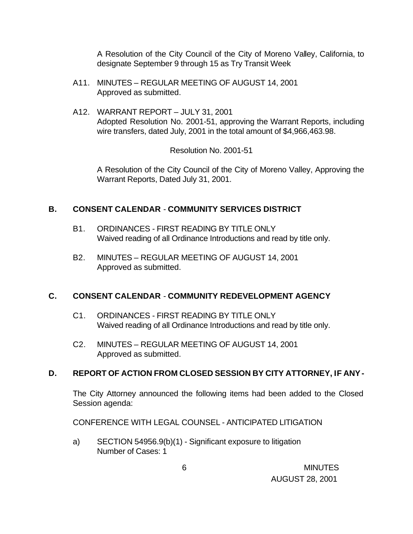A Resolution of the City Council of the City of Moreno Valley, California, to designate September 9 through 15 as Try Transit Week

- A11. MINUTES REGULAR MEETING OF AUGUST 14, 2001 Approved as submitted.
- A12. WARRANT REPORT JULY 31, 2001 Adopted Resolution No. 2001-51, approving the Warrant Reports, including wire transfers, dated July, 2001 in the total amount of \$4,966,463.98.

Resolution No. 2001-51

A Resolution of the City Council of the City of Moreno Valley, Approving the Warrant Reports, Dated July 31, 2001.

### **B. CONSENT CALENDAR** - **COMMUNITY SERVICES DISTRICT**

- B1. ORDINANCES FIRST READING BY TITLE ONLY Waived reading of all Ordinance Introductions and read by title only.
- B2. MINUTES REGULAR MEETING OF AUGUST 14, 2001 Approved as submitted.

### **C. CONSENT CALENDAR** - **COMMUNITY REDEVELOPMENT AGENCY**

- C1. ORDINANCES FIRST READING BY TITLE ONLY Waived reading of all Ordinance Introductions and read by title only.
- C2. MINUTES REGULAR MEETING OF AUGUST 14, 2001 Approved as submitted.

### **D. REPORT OF ACTION FROM CLOSED SESSION BY CITY ATTORNEY, IF ANY -**

The City Attorney announced the following items had been added to the Closed Session agenda:

CONFERENCE WITH LEGAL COUNSEL - ANTICIPATED LITIGATION

a) SECTION 54956.9(b)(1) - Significant exposure to litigation Number of Cases: 1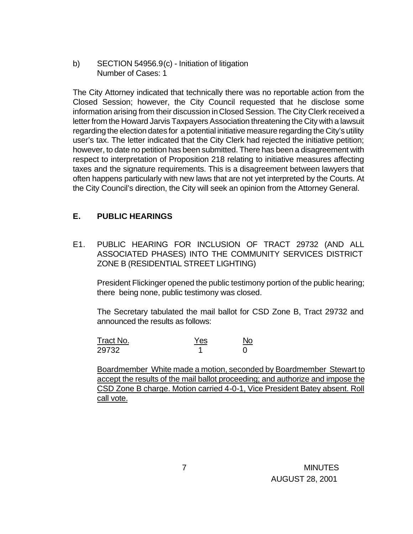b) SECTION 54956.9(c) - Initiation of litigation Number of Cases: 1

The City Attorney indicated that technically there was no reportable action from the Closed Session; however, the City Council requested that he disclose some information arising from their discussion in Closed Session. The City Clerk received a letter from the Howard Jarvis Taxpayers Association threatening the City with a lawsuit regarding the election dates for a potential initiative measure regarding the City's utility user's tax. The letter indicated that the City Clerk had rejected the initiative petition; however, to date no petition has been submitted. There has been a disagreement with respect to interpretation of Proposition 218 relating to initiative measures affecting taxes and the signature requirements. This is a disagreement between lawyers that often happens particularly with new laws that are not yet interpreted by the Courts. At the City Council's direction, the City will seek an opinion from the Attorney General.

### **E. PUBLIC HEARINGS**

E1. PUBLIC HEARING FOR INCLUSION OF TRACT 29732 (AND ALL ASSOCIATED PHASES) INTO THE COMMUNITY SERVICES DISTRICT ZONE B (RESIDENTIAL STREET LIGHTING)

President Flickinger opened the public testimony portion of the public hearing; there being none, public testimony was closed.

The Secretary tabulated the mail ballot for CSD Zone B, Tract 29732 and announced the results as follows:

| Tract No. | Yes | No |
|-----------|-----|----|
| 29732     |     |    |

Boardmember White made a motion, seconded by Boardmember Stewart to accept the results of the mail ballot proceeding; and authorize and impose the CSD Zone B charge. Motion carried 4-0-1, Vice President Batey absent. Roll call vote.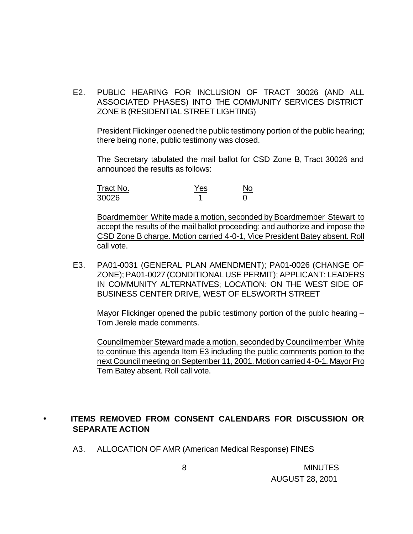E2. PUBLIC HEARING FOR INCLUSION OF TRACT 30026 (AND ALL ASSOCIATED PHASES) INTO THE COMMUNITY SERVICES DISTRICT ZONE B (RESIDENTIAL STREET LIGHTING)

President Flickinger opened the public testimony portion of the public hearing; there being none, public testimony was closed.

The Secretary tabulated the mail ballot for CSD Zone B, Tract 30026 and announced the results as follows:

| Tract No. | Yes | No |
|-----------|-----|----|
| 30026     |     |    |

Boardmember White made a motion, seconded by Boardmember Stewart to accept the results of the mail ballot proceeding; and authorize and impose the CSD Zone B charge. Motion carried 4-0-1, Vice President Batey absent. Roll call vote.

E3. PA01-0031 (GENERAL PLAN AMENDMENT); PA01-0026 (CHANGE OF ZONE); PA01-0027 (CONDITIONAL USE PERMIT); APPLICANT: LEADERS IN COMMUNITY ALTERNATIVES; LOCATION: ON THE WEST SIDE OF BUSINESS CENTER DRIVE, WEST OF ELSWORTH STREET

Mayor Flickinger opened the public testimony portion of the public hearing – Tom Jerele made comments.

Councilmember Steward made a motion, seconded by Councilmember White to continue this agenda Item E3 including the public comments portion to the next Council meeting on September 11, 2001. Motion carried 4-0-1. Mayor Pro Tem Batey absent. Roll call vote.

#### • **ITEMS REMOVED FROM CONSENT CALENDARS FOR DISCUSSION OR SEPARATE ACTION**

A3. ALLOCATION OF AMR (American Medical Response) FINES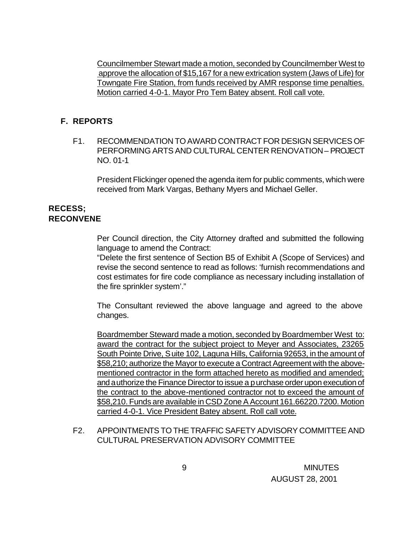Councilmember Stewart made a motion, seconded by Councilmember West to approve the allocation of \$15,167 for a new extrication system (Jaws of Life) for Towngate Fire Station, from funds received by AMR response time penalties. Motion carried 4-0-1. Mayor Pro Tem Batey absent. Roll call vote.

#### **F. REPORTS**

F1. RECOMMENDATION TO AWARD CONTRACT FOR DESIGN SERVICES OF PERFORMING ARTS AND CULTURAL CENTER RENOVATION – PROJECT NO. 01-1

President Flickinger opened the agenda item for public comments, which were received from Mark Vargas, Bethany Myers and Michael Geller.

#### **RECESS; RECONVENE**

Per Council direction, the City Attorney drafted and submitted the following language to amend the Contract:

"Delete the first sentence of Section B5 of Exhibit A (Scope of Services) and revise the second sentence to read as follows: 'furnish recommendations and cost estimates for fire code compliance as necessary including installation of the fire sprinkler system'."

The Consultant reviewed the above language and agreed to the above changes.

Boardmember Steward made a motion, seconded by Boardmember West to: award the contract for the subject project to Meyer and Associates, 23265 South Pointe Drive, Suite 102, Laguna Hills, California 92653, in the amount of \$58,210; authorize the Mayor to execute a Contract Agreement with the abovementioned contractor in the form attached hereto as modified and amended; and authorize the Finance Director to issue a purchase order upon execution of the contract to the above-mentioned contractor not to exceed the amount of \$58,210. Funds are available in CSD Zone A Account 161.66220.7200. Motion carried 4-0-1. Vice President Batey absent. Roll call vote.

F2. APPOINTMENTS TO THE TRAFFIC SAFETY ADVISORY COMMITTEE AND CULTURAL PRESERVATION ADVISORY COMMITTEE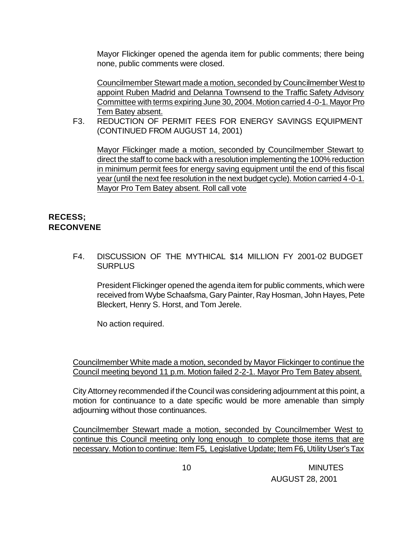Mayor Flickinger opened the agenda item for public comments; there being none, public comments were closed.

Councilmember Stewart made a motion, seconded by Councilmember West to appoint Ruben Madrid and Delanna Townsend to the Traffic Safety Advisory Committee with terms expiring June 30, 2004. Motion carried 4-0-1. Mayor Pro Tem Batey absent.

F3. REDUCTION OF PERMIT FEES FOR ENERGY SAVINGS EQUIPMENT (CONTINUED FROM AUGUST 14, 2001)

Mayor Flickinger made a motion, seconded by Councilmember Stewart to direct the staff to come back with a resolution implementing the 100% reduction in minimum permit fees for energy saving equipment until the end of this fiscal year (until the next fee resolution in the next budget cycle). Motion carried 4-0-1. Mayor Pro Tem Batey absent. Roll call vote

### **RECESS; RECONVENE**

F4. DISCUSSION OF THE MYTHICAL \$14 MILLION FY 2001-02 BUDGET **SURPLUS** 

President Flickinger opened the agenda item for public comments, which were received from Wybe Schaafsma, Gary Painter, Ray Hosman, John Hayes, Pete Bleckert, Henry S. Horst, and Tom Jerele.

No action required.

Councilmember White made a motion, seconded by Mayor Flickinger to continue the Council meeting beyond 11 p.m. Motion failed 2-2-1. Mayor Pro Tem Batey absent.

City Attorney recommended if the Council was considering adjournment at this point, a motion for continuance to a date specific would be more amenable than simply adjourning without those continuances.

Councilmember Stewart made a motion, seconded by Councilmember West to continue this Council meeting only long enough to complete those items that are necessary. Motion to continue: Item F5, Legislative Update; Item F6, Utility User's Tax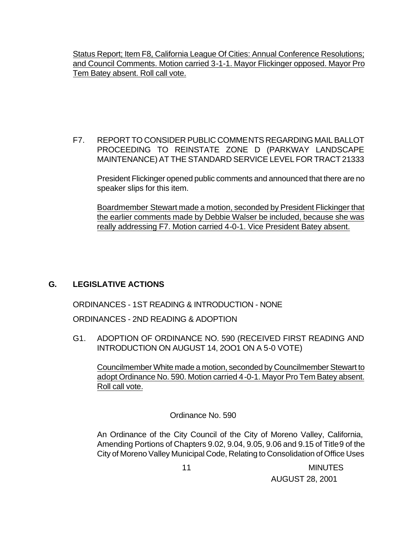Status Report; Item F8, California League Of Cities: Annual Conference Resolutions; and Council Comments. Motion carried 3-1-1. Mayor Flickinger opposed. Mayor Pro Tem Batey absent. Roll call vote.

F7. REPORT TO CONSIDER PUBLIC COMMENTS REGARDING MAIL BALLOT PROCEEDING TO REINSTATE ZONE D (PARKWAY LANDSCAPE MAINTENANCE) AT THE STANDARD SERVICE LEVEL FOR TRACT 21333

President Flickinger opened public comments and announced that there are no speaker slips for this item.

Boardmember Stewart made a motion, seconded by President Flickinger that the earlier comments made by Debbie Walser be included, because she was really addressing F7. Motion carried 4-0-1. Vice President Batey absent.

# **G. LEGISLATIVE ACTIONS**

ORDINANCES - 1ST READING & INTRODUCTION - NONE

ORDINANCES - 2ND READING & ADOPTION

G1. ADOPTION OF ORDINANCE NO. 590 (RECEIVED FIRST READING AND INTRODUCTION ON AUGUST 14, 2OO1 ON A 5-0 VOTE)

Councilmember White made a motion, seconded by Councilmember Stewart to adopt Ordinance No. 590. Motion carried 4-0-1. Mayor Pro Tem Batey absent. Roll call vote.

Ordinance No. 590

An Ordinance of the City Council of the City of Moreno Valley, California, Amending Portions of Chapters 9.02, 9.04, 9.05, 9.06 and 9.15 of Title 9 of the City of Moreno Valley Municipal Code, Relating to Consolidation of Office Uses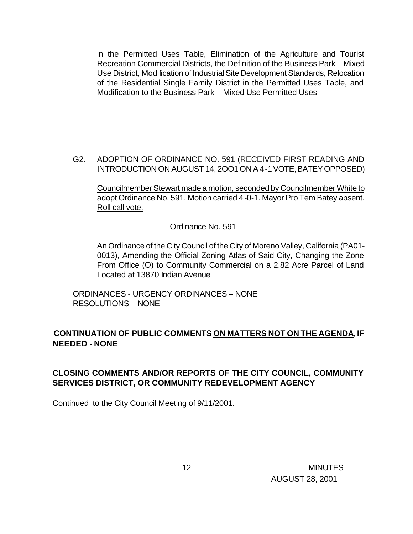in the Permitted Uses Table, Elimination of the Agriculture and Tourist Recreation Commercial Districts, the Definition of the Business Park – Mixed Use District, Modification of Industrial Site Development Standards, Relocation of the Residential Single Family District in the Permitted Uses Table, and Modification to the Business Park – Mixed Use Permitted Uses

G2. ADOPTION OF ORDINANCE NO. 591 (RECEIVED FIRST READING AND INTRODUCTION ON AUGUST 14, 2OO1 ON A 4-1 VOTE, BATEY OPPOSED)

Councilmember Stewart made a motion, seconded by Councilmember White to adopt Ordinance No. 591. Motion carried 4-0-1. Mayor Pro Tem Batey absent. Roll call vote.

Ordinance No. 591

An Ordinance of the City Council of the City of Moreno Valley, California (PA01- 0013), Amending the Official Zoning Atlas of Said City, Changing the Zone From Office (O) to Community Commercial on a 2.82 Acre Parcel of Land Located at 13870 Indian Avenue

ORDINANCES - URGENCY ORDINANCES – NONE RESOLUTIONS – NONE

## **CONTINUATION OF PUBLIC COMMENTS ON MATTERS NOT ON THE AGENDA**, **IF NEEDED - NONE**

# **CLOSING COMMENTS AND/OR REPORTS OF THE CITY COUNCIL, COMMUNITY SERVICES DISTRICT, OR COMMUNITY REDEVELOPMENT AGENCY**

Continued to the City Council Meeting of 9/11/2001.